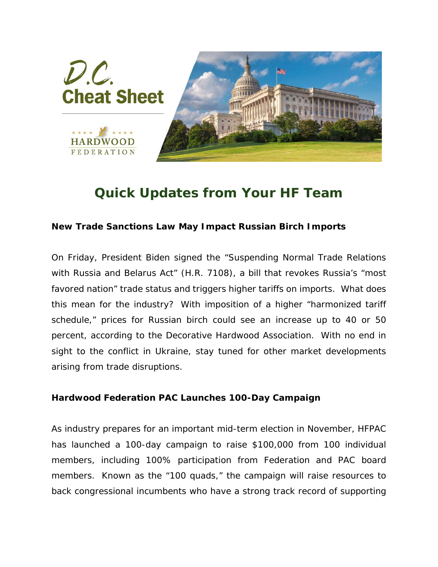

## *Quick Updates from Your HF Team*

## **New Trade Sanctions Law May Impact Russian Birch Imports**

On Friday, President Biden signed the "Suspending Normal Trade Relations with Russia and Belarus Act" (H.R. 7108), a bill that revokes Russia's "most favored nation" trade status and triggers higher tariffs on imports. What does this mean for the industry? With imposition of a higher "harmonized tariff schedule," prices for Russian birch could see an increase up to 40 or 50 percent, according to the Decorative Hardwood Association. With no end in sight to the conflict in Ukraine, stay tuned for other market developments arising from trade disruptions.

## **Hardwood Federation PAC Launches 100-Day Campaign**

As industry prepares for an important mid-term election in November, HFPAC has launched a 100-day campaign to raise \$100,000 from 100 individual members, including 100% participation from Federation and PAC board members. Known as the "100 quads," the campaign will raise resources to back congressional incumbents who have a strong track record of supporting